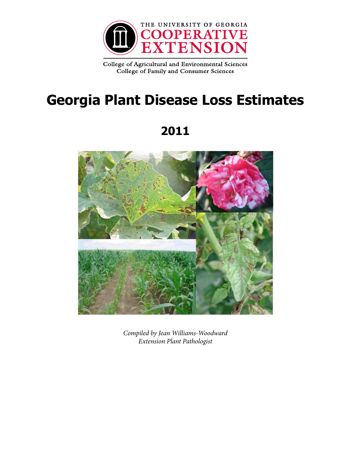

College of Agricultural and Environmental Sciences College of Family and Consumer Sciences

# **Georgia Plant Disease Loss Estimates**

## **2011**



*Compiled by Jean Williams-Woodward Extension Plant Pathologist*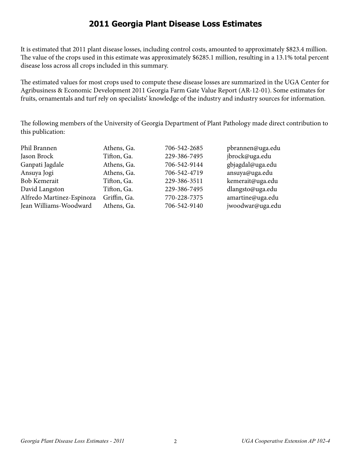#### **2011 Georgia Plant Disease Loss Estimates**

It is estimated that 2011 plant disease losses, including control costs, amounted to approximately \$823.4 million. The value of the crops used in this estimate was approximately \$6285.1 million, resulting in a 13.1% total percent disease loss across all crops included in this summary.

The estimated values for most crops used to compute these disease losses are summarized in the UGA Center for Agribusiness & Economic Development 2011 Georgia Farm Gate Value Report (AR-12-01). Some estimates for fruits, ornamentals and turf rely on specialists' knowledge of the industry and industry sources for information.

The following members of the University of Georgia Department of Plant Pathology made direct contribution to this publication:

| Phil Brannen              | Athens, Ga.  | 706-542-2685 | pbrannen@uga.edu |
|---------------------------|--------------|--------------|------------------|
| Jason Brock               | Tifton, Ga.  | 229-386-7495 | jbrock@uga.edu   |
| Ganpati Jagdale           | Athens, Ga.  | 706-542-9144 | gbjagdal@uga.edu |
| Ansuya Jogi               | Athens, Ga.  | 706-542-4719 | ansuya@uga.edu   |
| <b>Bob Kemerait</b>       | Tifton, Ga.  | 229-386-3511 | kemerait@uga.edu |
| David Langston            | Tifton, Ga.  | 229-386-7495 | dlangsto@uga.edu |
| Alfredo Martinez-Espinoza | Griffin, Ga. | 770-228-7375 | amartine@uga.edu |
| Jean Williams-Woodward    | Athens, Ga.  | 706-542-9140 | jwoodwar@uga.edu |
|                           |              |              |                  |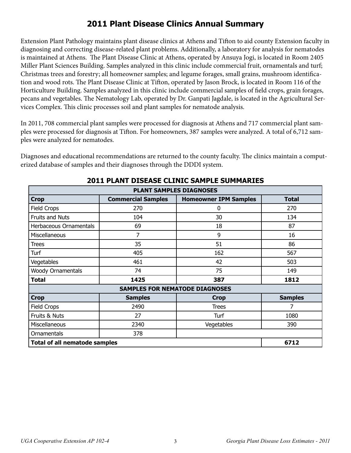## **2011 Plant Disease Clinics Annual Summary**

Extension Plant Pathology maintains plant disease clinics at Athens and Tifton to aid county Extension faculty in diagnosing and correcting disease-related plant problems. Additionally, a laboratory for analysis for nematodes is maintained at Athens. The Plant Disease Clinic at Athens, operated by Ansuya Jogi, is located in Room 2405 Miller Plant Sciences Building. Samples analyzed in this clinic include commercial fruit, ornamentals and turf; Christmas trees and forestry; all homeowner samples; and legume forages, small grains, mushroom identification and wood rots. The Plant Disease Clinic at Tifton, operated by Jason Brock, is located in Room 116 of the Horticulture Building. Samples analyzed in this clinic include commercial samples of field crops, grain forages, pecans and vegetables. The Nematology Lab, operated by Dr. Ganpati Jagdale, is located in the Agricultural Services Complex. This clinic processes soil and plant samples for nematode analysis.

In 2011, 708 commercial plant samples were processed for diagnosis at Athens and 717 commercial plant samples were processed for diagnosis at Tifton. For homeowners, 387 samples were analyzed. A total of 6,712 samples were analyzed for nematodes.

Diagnoses and educational recommendations are returned to the county faculty. The clinics maintain a computerized database of samples and their diagnoses through the DDDI system.

| <b>PLANT SAMPLES DIAGNOSES</b>       |                                       |                              |                |  |  |
|--------------------------------------|---------------------------------------|------------------------------|----------------|--|--|
| <b>Crop</b>                          | <b>Commercial Samples</b>             | <b>Homeowner IPM Samples</b> | <b>Total</b>   |  |  |
| <b>Field Crops</b>                   | 270                                   | 0                            | 270            |  |  |
| <b>Fruits and Nuts</b>               | 104                                   | 30                           | 134            |  |  |
| Herbaceous Ornamentals               | 69                                    | 18                           | 87             |  |  |
| Miscellaneous                        | 7                                     | 9                            | 16             |  |  |
| <b>Trees</b>                         | 35                                    | 51                           | 86             |  |  |
| Turf                                 | 405                                   | 162                          | 567            |  |  |
| Vegetables                           | 461                                   | 42                           | 503            |  |  |
| <b>Woody Ornamentals</b>             | 74                                    | 75                           | 149            |  |  |
| <b>Total</b>                         | 1425                                  | 387                          | 1812           |  |  |
|                                      | <b>SAMPLES FOR NEMATODE DIAGNOSES</b> |                              |                |  |  |
| <b>Crop</b>                          | <b>Samples</b>                        | <b>Crop</b>                  | <b>Samples</b> |  |  |
| <b>Field Crops</b>                   | 2490                                  | <b>Trees</b>                 | 7              |  |  |
| Fruits & Nuts                        | 27                                    | Turf                         | 1080           |  |  |
| Miscellaneous                        | 2340                                  | Vegetables                   | 390            |  |  |
| Ornamentals                          | 378                                   |                              |                |  |  |
| <b>Total of all nematode samples</b> | 6712                                  |                              |                |  |  |

#### **2011 PLANT DISEASE CLINIC SAMPLE SUMMARIES**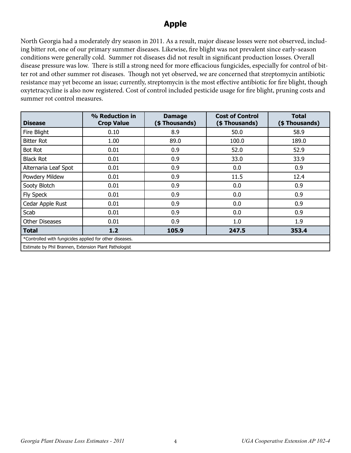#### **Apple**

North Georgia had a moderately dry season in 2011. As a result, major disease losses were not observed, including bitter rot, one of our primary summer diseases. Likewise, fire blight was not prevalent since early-season conditions were generally cold. Summer rot diseases did not result in significant production losses. Overall disease pressure was low. There is still a strong need for more efficacious fungicides, especially for control of bitter rot and other summer rot diseases. Though not yet observed, we are concerned that streptomycin antibiotic resistance may yet become an issue; currently, streptomycin is the most effective antibiotic for fire blight, though oxytetracycline is also now registered. Cost of control included pesticide usage for fire blight, pruning costs and summer rot control measures.

| <b>Disease</b>                                          | % Reduction in<br><b>Crop Value</b> | <b>Damage</b><br>(\$Thousands) | <b>Cost of Control</b><br>(\$Thousands) | <b>Total</b><br>(\$Thousands) |  |
|---------------------------------------------------------|-------------------------------------|--------------------------------|-----------------------------------------|-------------------------------|--|
| Fire Blight                                             | 0.10                                | 8.9                            | 50.0                                    | 58.9                          |  |
| <b>Bitter Rot</b>                                       | 1.00                                | 89.0                           | 100.0                                   | 189.0                         |  |
| <b>Bot Rot</b>                                          | 0.01                                | 0.9                            | 52.0                                    | 52.9                          |  |
| <b>Black Rot</b>                                        | 0.01                                | 0.9                            | 33.0                                    | 33.9                          |  |
| Alternaria Leaf Spot                                    | 0.01                                | 0.9                            | 0.0                                     | 0.9                           |  |
| Powdery Mildew                                          | 0.01                                | 0.9                            | 11.5                                    | 12.4                          |  |
| Sooty Blotch                                            | 0.01                                | 0.9                            | 0.0                                     | 0.9                           |  |
| <b>Fly Speck</b>                                        | 0.01                                | 0.9                            | 0.0                                     | 0.9                           |  |
| Cedar Apple Rust                                        | 0.01                                | 0.9                            | 0.0                                     | 0.9                           |  |
| Scab                                                    | 0.01                                | 0.9                            | 0.0                                     | 0.9                           |  |
| <b>Other Diseases</b>                                   | 0.01                                | 0.9                            | 1.0                                     | 1.9                           |  |
| Total                                                   | 1.2                                 | 105.9                          | 247.5                                   | 353.4                         |  |
| *Controlled with fungicides applied for other diseases. |                                     |                                |                                         |                               |  |
| Estimate by Phil Brannen, Extension Plant Pathologist   |                                     |                                |                                         |                               |  |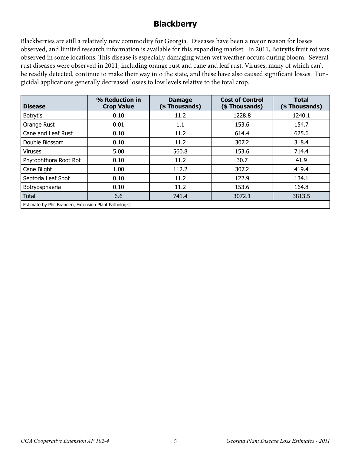## **Blackberry**

Blackberries are still a relatively new commodity for Georgia. Diseases have been a major reason for losses observed, and limited research information is available for this expanding market. In 2011, Botrytis fruit rot was observed in some locations. This disease is especially damaging when wet weather occurs during bloom. Several rust diseases were observed in 2011, including orange rust and cane and leaf rust. Viruses, many of which can't be readily detected, continue to make their way into the state, and these have also caused significant losses. Fungicidal applications generally decreased losses to low levels relative to the total crop.

| <b>Disease</b>                                        | % Reduction in<br><b>Crop Value</b> | <b>Damage</b><br>(\$Thousands) | <b>Cost of Control</b><br>(\$Thousands) | <b>Total</b><br>(\$Thousands) |
|-------------------------------------------------------|-------------------------------------|--------------------------------|-----------------------------------------|-------------------------------|
| <b>Botrytis</b>                                       | 0.10                                | 11.2                           | 1228.8                                  | 1240.1                        |
| Orange Rust                                           | 0.01                                | 1.1                            | 153.6                                   | 154.7                         |
| Cane and Leaf Rust                                    | 0.10                                | 11.2                           | 614.4                                   | 625.6                         |
| Double Blossom                                        | 0.10                                | 11.2                           | 307.2                                   | 318.4                         |
| <b>Viruses</b>                                        | 5.00                                | 560.8                          | 153.6                                   | 714.4                         |
| Phytophthora Root Rot                                 | 0.10                                | 11.2                           | 30.7                                    | 41.9                          |
| Cane Blight                                           | 1.00                                | 112.2                          | 307.2                                   | 419.4                         |
| Septoria Leaf Spot                                    | 0.10                                | 11.2                           | 122.9                                   | 134.1                         |
| Botryosphaeria                                        | 0.10                                | 11.2                           | 153.6                                   | 164.8                         |
| <b>Total</b>                                          | 6.6                                 | 741.4                          | 3072.1                                  | 3813.5                        |
| Estimate by Phil Brannen, Extension Plant Pathologist |                                     |                                |                                         |                               |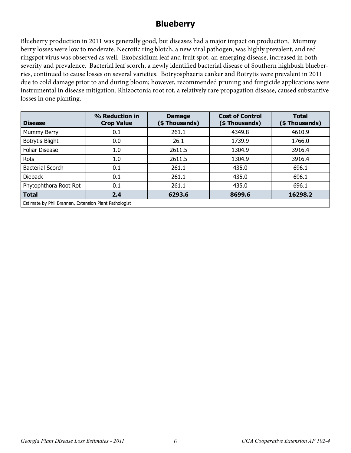#### **Blueberry**

Blueberry production in 2011 was generally good, but diseases had a major impact on production. Mummy berry losses were low to moderate. Necrotic ring blotch, a new viral pathogen, was highly prevalent, and red ringspot virus was observed as well. Exobasidium leaf and fruit spot, an emerging disease, increased in both severity and prevalence. Bacterial leaf scorch, a newly identified bacterial disease of Southern highbush blueberries, continued to cause losses on several varieties. Botryosphaeria canker and Botrytis were prevalent in 2011 due to cold damage prior to and during bloom; however, recommended pruning and fungicide applications were instrumental in disease mitigation. Rhizoctonia root rot, a relatively rare propagation disease, caused substantive losses in one planting.

| <b>Disease</b>          | % Reduction in<br><b>Crop Value</b>                   | <b>Damage</b><br>(\$ Thousands) | <b>Cost of Control</b><br>(\$Thousands) | <b>Total</b><br>(\$Thousands) |  |  |
|-------------------------|-------------------------------------------------------|---------------------------------|-----------------------------------------|-------------------------------|--|--|
| Mummy Berry             | 0.1                                                   | 261.1                           | 4349.8                                  | 4610.9                        |  |  |
| Botrytis Blight         | 0.0                                                   | 26.1                            | 1739.9                                  | 1766.0                        |  |  |
| <b>Foliar Disease</b>   | 1.0                                                   | 2611.5                          | 1304.9                                  | 3916.4                        |  |  |
| Rots                    | 1.0                                                   | 2611.5                          | 1304.9                                  | 3916.4                        |  |  |
| <b>Bacterial Scorch</b> | 0.1                                                   | 261.1                           | 435.0                                   | 696.1                         |  |  |
| <b>Dieback</b>          | 0.1                                                   | 261.1                           | 435.0                                   | 696.1                         |  |  |
| Phytophthora Root Rot   | 0.1                                                   | 261.1                           | 435.0                                   | 696.1                         |  |  |
| <b>Total</b>            | 2.4                                                   | 6293.6                          | 8699.6                                  | 16298.2                       |  |  |
|                         | Estimate by Phil Brannen, Extension Plant Pathologist |                                 |                                         |                               |  |  |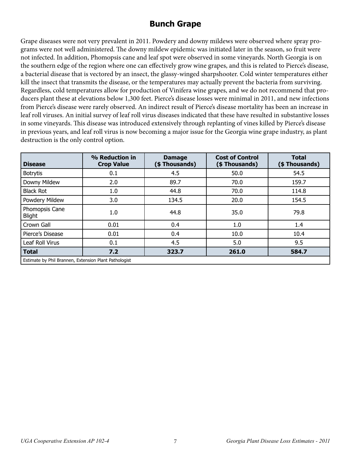## **Bunch Grape**

Grape diseases were not very prevalent in 2011. Powdery and downy mildews were observed where spray programs were not well administered. The downy mildew epidemic was initiated later in the season, so fruit were not infected. In addition, Phomopsis cane and leaf spot were observed in some vineyards. North Georgia is on the southern edge of the region where one can effectively grow wine grapes, and this is related to Pierce's disease, a bacterial disease that is vectored by an insect, the glassy-winged sharpshooter. Cold winter temperatures either kill the insect that transmits the disease, or the temperatures may actually prevent the bacteria from surviving. Regardless, cold temperatures allow for production of Vinifera wine grapes, and we do not recommend that producers plant these at elevations below 1,300 feet. Pierce's disease losses were minimal in 2011, and new infections from Pierce's disease were rarely observed. An indirect result of Pierce's disease mortality has been an increase in leaf roll viruses. An initial survey of leaf roll virus diseases indicated that these have resulted in substantive losses in some vineyards. This disease was introduced extensively through replanting of vines killed by Pierce's disease in previous years, and leaf roll virus is now becoming a major issue for the Georgia wine grape industry, as plant destruction is the only control option.

| <b>Disease</b>                                        | % Reduction in<br><b>Crop Value</b> | <b>Damage</b><br>(\$Thousands) | <b>Cost of Control</b><br>(\$Thousands) | <b>Total</b><br>(\$Thousands) |  |  |
|-------------------------------------------------------|-------------------------------------|--------------------------------|-----------------------------------------|-------------------------------|--|--|
| <b>Botrytis</b>                                       | 0.1                                 | 4.5                            | 50.0                                    | 54.5                          |  |  |
| Downy Mildew                                          | 2.0                                 | 89.7                           | 70.0                                    | 159.7                         |  |  |
| <b>Black Rot</b>                                      | 1.0                                 | 44.8                           | 70.0                                    | 114.8                         |  |  |
| Powdery Mildew                                        | 3.0                                 | 134.5                          | 20.0                                    | 154.5                         |  |  |
| Phomopsis Cane<br><b>Blight</b>                       | 1.0                                 | 44.8                           | 35.0                                    | 79.8                          |  |  |
| Crown Gall                                            | 0.01                                | 0.4                            | 1.0                                     | 1.4                           |  |  |
| Pierce's Disease                                      | 0.01                                | 0.4                            | 10.0                                    | 10.4                          |  |  |
| Leaf Roll Virus                                       | 0.1                                 | 4.5                            | 5.0                                     | 9.5                           |  |  |
| <b>Total</b>                                          | 7.2                                 | 323.7                          | 261.0                                   | 584.7                         |  |  |
| Estimate by Phil Brannen, Extension Plant Pathologist |                                     |                                |                                         |                               |  |  |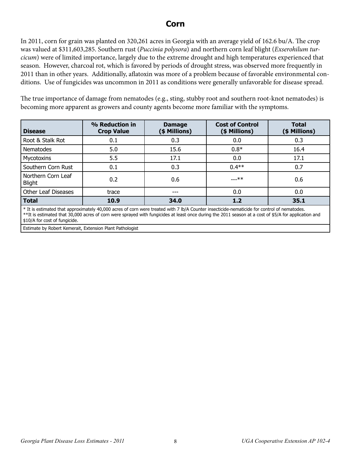#### **Corn**

In 2011, corn for grain was planted on 320,261 acres in Georgia with an average yield of 162.6 bu/A. The crop was valued at \$311,603,285. Southern rust (*Puccinia polysora*) and northern corn leaf blight (*Exserohilum turcicum*) were of limited importance, largely due to the extreme drought and high temperatures experienced that season. However, charcoal rot, which is favored by periods of drought stress, was observed more frequently in 2011 than in other years. Additionally, aflatoxin was more of a problem because of favorable environmental conditions. Use of fungicides was uncommon in 2011 as conditions were generally unfavorable for disease spread.

The true importance of damage from nematodes (e.g., sting, stubby root and southern root-knot nematodes) is becoming more apparent as growers and county agents become more familiar with the symptoms.

| <b>Disease</b>                      | % Reduction in<br><b>Crop Value</b> | <b>Damage</b><br>(\$ Millions) | <b>Cost of Control</b><br>(\$ Millions) | <b>Total</b><br>(\$ Millions) |
|-------------------------------------|-------------------------------------|--------------------------------|-----------------------------------------|-------------------------------|
| Root & Stalk Rot                    | 0.1                                 | 0.3                            | 0.0                                     | 0.3                           |
| Nematodes                           | 5.0                                 | 15.6                           | $0.8*$                                  | 16.4                          |
| Mycotoxins                          | 5.5                                 | 17.1                           | 0.0                                     | 17.1                          |
| Southern Corn Rust                  | 0.1                                 | 0.3                            | $0.4**$                                 | 0.7                           |
| Northern Corn Leaf<br><b>Blight</b> | 0.2                                 | 0.6                            | $---***$                                | 0.6                           |
| Other Leaf Diseases                 | trace                               | ---                            | 0.0                                     | 0.0                           |
| <b>Total</b>                        | 10.9                                | 34.0                           | 1.2                                     | 35.1                          |

\* It is estimated that approximately 40,000 acres of corn were treated with 7 lb/A Counter insecticide-nematicide for control of nematodes. \*\*It is estimated that 30,000 acres of corn were sprayed with fungicides at least once during the 2011 season at a cost of \$5/A for application and \$10/A for cost of fungicide.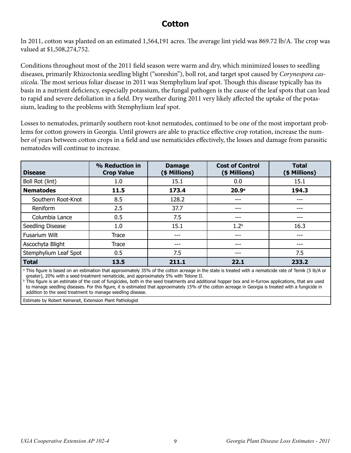#### **Cotton**

In 2011, cotton was planted on an estimated 1,564,191 acres. The average lint yield was 869.72 lb/A. The crop was valued at \$1,508,274,752.

Conditions throughout most of the 2011 field season were warm and dry, which minimized losses to seedling diseases, primarily Rhizoctonia seedling blight ("soreshin"), boll rot, and target spot caused by *Corynespora cassiicola*. The most serious foliar disease in 2011 was Stemphylium leaf spot. Though this disease typically has its basis in a nutrient deficiency, especially potassium, the fungal pathogen is the cause of the leaf spots that can lead to rapid and severe defoliation in a field. Dry weather during 2011 very likely affected the uptake of the potassium, leading to the problems with Stemphylium leaf spot.

Losses to nematodes, primarily southern root-knot nematodes, continued to be one of the most important problems for cotton growers in Georgia. Until growers are able to practice effective crop rotation, increase the number of years between cotton crops in a field and use nematicides effectively, the losses and damage from parasitic nematodes will continue to increase.

| <b>Disease</b>        | % Reduction in<br><b>Crop Value</b> | <b>Damage</b><br>(\$ Millions) | <b>Cost of Control</b><br>(\$ Millions) | <b>Total</b><br>(\$ Millions) |
|-----------------------|-------------------------------------|--------------------------------|-----------------------------------------|-------------------------------|
| Boll Rot (lint)       | 1.0                                 | 15.1                           | 0.0                                     | 15.1                          |
| <b>Nematodes</b>      | 11.5                                | 173.4                          | 20.9 <sup>a</sup>                       | 194.3                         |
| Southern Root-Knot    | 8.5                                 | 128.2                          | ---                                     | ---                           |
| Reniform              | 2.5                                 | 37.7                           | ---                                     | ---                           |
| Columbia Lance        | 0.5                                 | 7.5                            | ---                                     | ---                           |
| Seedling Disease      | 1.0                                 | 15.1                           | 1.2 <sup>b</sup>                        | 16.3                          |
| Fusarium Wilt         | Trace                               | ---                            | ---                                     | ---                           |
| Ascochyta Blight      | Trace                               | ---                            | ---                                     | ---                           |
| Stemphylium Leaf Spot | 0.5                                 | 7.5                            | ---                                     | 7.5                           |
| Total                 | 13.5                                | 211.1                          | 22.1                                    | 233.2                         |

a This figure is based on an estimation that approximately 35% of the cotton acreage in the state is treated with a nematicide rate of Temik (5 lb/A or greater), 20% with a seed-treatment nematicide, and approximately 5% with Telone II.

**b** This figure is an estimate of the cost of fungicides, both in the seed treatments and additional hopper box and in-furrow applications, that are used to manage seedling diseases. For this figure, it is estimated that approximately 15% of the cotton acreage in Georgia is treated with a fungicide in addition to the seed treatment to manage seedling disease.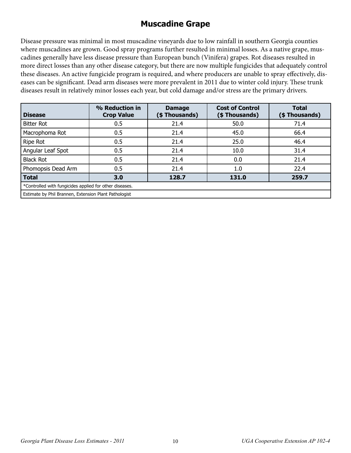## **Muscadine Grape**

Disease pressure was minimal in most muscadine vineyards due to low rainfall in southern Georgia counties where muscadines are grown. Good spray programs further resulted in minimal losses. As a native grape, muscadines generally have less disease pressure than European bunch (Vinifera) grapes. Rot diseases resulted in more direct losses than any other disease category, but there are now multiple fungicides that adequately control these diseases. An active fungicide program is required, and where producers are unable to spray effectively, diseases can be significant. Dead arm diseases were more prevalent in 2011 due to winter cold injury. These trunk diseases result in relatively minor losses each year, but cold damage and/or stress are the primary drivers.

| <b>Disease</b>                                          | % Reduction in<br><b>Crop Value</b>                   | <b>Damage</b><br>(\$Thousands) | <b>Cost of Control</b><br>(\$ Thousands) | <b>Total</b><br>(\$ Thousands) |  |  |  |
|---------------------------------------------------------|-------------------------------------------------------|--------------------------------|------------------------------------------|--------------------------------|--|--|--|
| <b>Bitter Rot</b>                                       | 0.5                                                   | 21.4                           | 50.0                                     | 71.4                           |  |  |  |
| Macrophoma Rot                                          | 0.5                                                   | 21.4                           | 45.0                                     | 66.4                           |  |  |  |
| Ripe Rot                                                | 0.5                                                   | 21.4                           | 25.0                                     | 46.4                           |  |  |  |
| Angular Leaf Spot                                       | 0.5                                                   | 21.4                           | 10.0                                     | 31.4                           |  |  |  |
| <b>Black Rot</b>                                        | 0.5                                                   | 21.4                           | 0.0                                      | 21.4                           |  |  |  |
| Phomopsis Dead Arm                                      | 0.5                                                   | 21.4                           | 1.0                                      | 22.4                           |  |  |  |
| <b>Total</b>                                            | 3.0                                                   | 128.7                          | 131.0                                    | 259.7                          |  |  |  |
| *Controlled with fungicides applied for other diseases. |                                                       |                                |                                          |                                |  |  |  |
|                                                         | Estimate by Phil Brannen, Extension Plant Pathologist |                                |                                          |                                |  |  |  |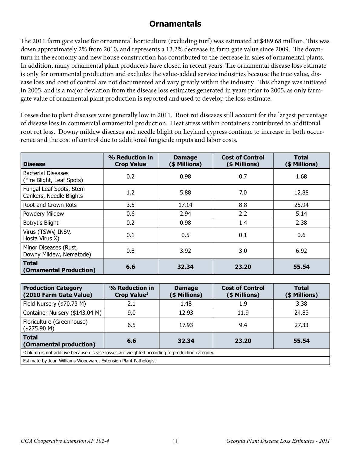## **Ornamentals**

The 2011 farm gate value for ornamental horticulture (excluding turf) was estimated at \$489.68 million. This was down approximately 2% from 2010, and represents a 13.2% decrease in farm gate value since 2009. The downturn in the economy and new house construction has contributed to the decrease in sales of ornamental plants. In addition, many ornamental plant producers have closed in recent years. The ornamental disease loss estimate is only for ornamental production and excludes the value-added service industries because the true value, disease loss and cost of control are not documented and vary greatly within the industry. This change was initiated in 2005, and is a major deviation from the disease loss estimates generated in years prior to 2005, as only farmgate value of ornamental plant production is reported and used to develop the loss estimate.

Losses due to plant diseases were generally low in 2011. Root rot diseases still account for the largest percentage of disease loss in commercial ornamental production. Heat stress within containers contributed to additional root rot loss. Downy mildew diseases and needle blight on Leyland cypress continue to increase in both occurrence and the cost of control due to additional fungicide inputs and labor costs.

| <b>Disease</b>                                         | % Reduction in<br><b>Crop Value</b> | <b>Damage</b><br>(\$ Millions) | <b>Cost of Control</b><br>(\$ Millions) | <b>Total</b><br>(\$ Millions) |
|--------------------------------------------------------|-------------------------------------|--------------------------------|-----------------------------------------|-------------------------------|
| <b>Bacterial Diseases</b><br>(Fire Blight, Leaf Spots) | 0.2                                 | 0.98                           | 0.7                                     | 1.68                          |
| Fungal Leaf Spots, Stem<br>Cankers, Needle Blights     | 1.2                                 | 5.88                           | 7.0                                     | 12.88                         |
| Root and Crown Rots                                    | 3.5                                 | 17.14                          | 8.8                                     | 25.94                         |
| Powdery Mildew                                         | 0.6                                 | 2.94                           | 2.2                                     | 5.14                          |
| <b>Botrytis Blight</b>                                 | 0.2                                 | 0.98                           | 1.4                                     | 2.38                          |
| Virus (TSWV, INSV,<br>Hosta Virus X)                   | 0.1                                 | 0.5                            | 0.1                                     | 0.6                           |
| Minor Diseases (Rust,<br>Downy Mildew, Nematode)       | 0.8                                 | 3.92                           | 3.0                                     | 6.92                          |
| <b>Total</b><br>(Ornamental Production)                | 6.6                                 | 32.34                          | 23.20                                   | 55.54                         |

| <b>Production Category</b><br>(2010 Farm Gate Value)                                                      | % Reduction in<br>Crop Value <sup>1</sup> | <b>Damage</b><br>(\$ Millions) | <b>Cost of Control</b><br>(\$ Millions) | <b>Total</b><br>(\$ Millions) |
|-----------------------------------------------------------------------------------------------------------|-------------------------------------------|--------------------------------|-----------------------------------------|-------------------------------|
| Field Nursery (\$70.73 M)                                                                                 | 2.1                                       | 1.48                           | 1.9                                     | 3.38                          |
| Container Nursery (\$143.04 M)                                                                            | 9.0                                       | 12.93                          | 11.9                                    | 24.83                         |
| Floriculture (Greenhouse)<br>(\$275.90 M)                                                                 | 6.5                                       | 17.93                          | 9.4                                     | 27.33                         |
| <b>Total</b><br>23.20<br>6.6<br>32.34<br>55.54<br>(Ornamental production)                                 |                                           |                                |                                         |                               |
| <sup>1</sup> Column is not additive because disease losses are weighted according to production category. |                                           |                                |                                         |                               |
| Estimate by Jean Williams-Woodward, Extension Plant Pathologist                                           |                                           |                                |                                         |                               |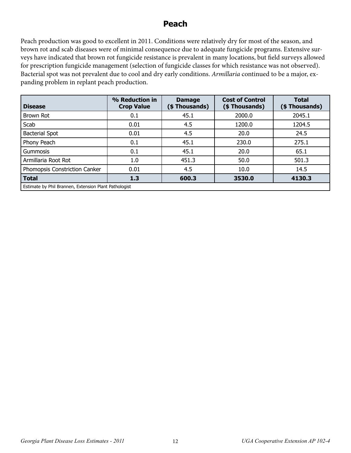#### **Peach**

Peach production was good to excellent in 2011. Conditions were relatively dry for most of the season, and brown rot and scab diseases were of minimal consequence due to adequate fungicide programs. Extensive surveys have indicated that brown rot fungicide resistance is prevalent in many locations, but field surveys allowed for prescription fungicide management (selection of fungicide classes for which resistance was not observed). Bacterial spot was not prevalent due to cool and dry early conditions. *Armillaria* continued to be a major, expanding problem in replant peach production.

| <b>Disease</b>                | % Reduction in<br><b>Crop Value</b>                   | <b>Damage</b><br>(\$ Thousands) | <b>Cost of Control</b><br>(\$Thousands) | <b>Total</b><br>(\$Thousands) |  |  |
|-------------------------------|-------------------------------------------------------|---------------------------------|-----------------------------------------|-------------------------------|--|--|
| Brown Rot                     | 0.1                                                   | 45.1                            | 2000.0                                  | 2045.1                        |  |  |
| Scab                          | 0.01                                                  | 4.5                             | 1200.0                                  | 1204.5                        |  |  |
| <b>Bacterial Spot</b>         | 0.01                                                  | 4.5                             | 20.0                                    | 24.5                          |  |  |
| Phony Peach                   | 0.1                                                   | 45.1                            | 230.0                                   | 275.1                         |  |  |
| Gummosis                      | 0.1                                                   | 45.1                            | 20.0                                    | 65.1                          |  |  |
| Armillaria Root Rot           | 1.0                                                   | 451.3                           | 50.0                                    | 501.3                         |  |  |
| Phomopsis Constriction Canker | 0.01                                                  | 4.5                             | 10.0                                    | 14.5                          |  |  |
| <b>Total</b>                  | 1.3                                                   | 600.3                           | 3530.0                                  | 4130.3                        |  |  |
|                               | Estimate by Phil Brannen, Extension Plant Pathologist |                                 |                                         |                               |  |  |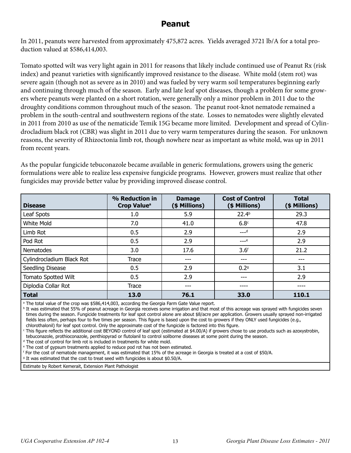#### **Peanut**

In 2011, peanuts were harvested from approximately 475,872 acres. Yields averaged 3721 lb/A for a total production valued at \$586,414,003.

Tomato spotted wilt was very light again in 2011 for reasons that likely include continued use of Peanut Rx (risk index) and peanut varieties with significantly improved resistance to the disease. White mold (stem rot) was severe again (though not as severe as in 2010) and was fueled by very warm soil temperatures beginning early and continuing through much of the season. Early and late leaf spot diseases, though a problem for some growers where peanuts were planted on a short rotation, were generally only a minor problem in 2011 due to the droughty conditions common throughout much of the season. The peanut root-knot nematode remained a problem in the south-central and southwestern regions of the state. Losses to nematodes were slightly elevated in 2011 from 2010 as use of the nematicide Temik 15G became more limited. Development and spread of Cylindrocladium black rot (CBR) was slight in 2011 due to very warm temperatures during the season. For unknown reasons, the severity of Rhizoctonia limb rot, though nowhere near as important as white mold, was up in 2011 from recent years.

As the popular fungicide tebuconazole became available in generic formulations, growers using the generic formulations were able to realize less expensive fungicide programs. However, growers must realize that other fungicides may provide better value by providing improved disease control.

| <b>Disease</b>            | % Reduction in<br><b>Damage</b><br>(\$ Millions)<br>Crop Value <sup>a</sup> |      | <b>Cost of Control</b><br>(\$ Millions) | <b>Total</b><br>(\$ Millions) |
|---------------------------|-----------------------------------------------------------------------------|------|-----------------------------------------|-------------------------------|
| Leaf Spots                | 1.0                                                                         | 5.9  | 22.4 <sup>b</sup>                       | 29.3                          |
| White Mold                | 7.0                                                                         | 41.0 | 6.8 <sup>c</sup>                        | 47.8                          |
| Limb Rot                  | 0.5                                                                         | 2.9  | $---d$                                  | 2.9                           |
| Pod Rot                   | 0.5                                                                         | 2.9  | $---e$                                  | 2.9                           |
| Nematodes                 | 3.0                                                                         | 17.6 | 3.6 <sup>f</sup>                        | 21.2                          |
| Cylindrocladium Black Rot | Trace                                                                       | ---  | ---                                     | ---                           |
| Seedling Disease          | 0.5                                                                         | 2.9  | 0.29                                    | 3.1                           |
| Tomato Spotted Wilt       | 0.5                                                                         | 2.9  | ---                                     | 2.9                           |
| Diplodia Collar Rot       | <b>Trace</b>                                                                | ---  |                                         |                               |
| <b>Total</b>              | 13.0                                                                        | 76.1 | 33.0                                    | 110.1                         |

a The total value of the crop was \$586,414,003, according the Georgia Farm Gate Value report.

 $^{\rm b}$  It was estimated that 55% of peanut acreage in Georgia receives some irrigation and that most of this acreage was sprayed with fungicides seven times during the season. Fungicide treatments for leaf spot control alone are about \$8/acre per application. Growers usually sprayed non-irrigated fields less often, perhaps four to five times per season. This figure is based upon the cost to growers if they ONLY used fungicides (e.g., chlorothalonil) for leaf spot control. Only the approximate cost of the fungicide is factored into this figure.

c This figure reflects the additional cost BEYOND control of leaf spot (estimated at \$4.00/A) if growers chose to use products such as azoxystrobin, tebuconazole, prothioconazole, penthiopyrad or flutolanil to control soilborne diseases at some point during the season.

d The cost of control for limb rot is included in treatments for white mold.

e The cost of gypsum treatments applied to reduce pod rot has not been estimated.

f For the cost of nematode management, it was estimated that 15% of the acreage in Georgia is treated at a cost of \$50/A.

<sup>9</sup> It was estimated that the cost to treat seed with fungicides is about \$0.50/A.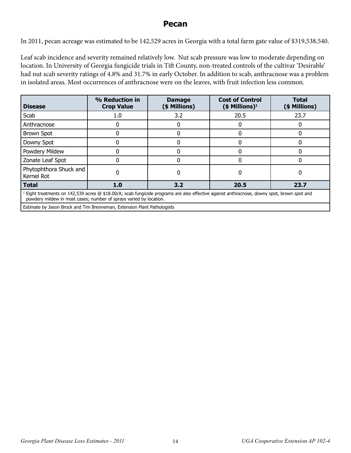#### **Pecan**

In 2011, pecan acreage was estimated to be 142,529 acres in Georgia with a total farm gate value of \$319,538,540.

Leaf scab incidence and severity remained relatively low. Nut scab pressure was low to moderate depending on location. In University of Georgia fungicide trials in Tift County, non-treated controls of the cultivar 'Desirable' had nut scab severity ratings of 4.8% and 31.7% in early October. In addition to scab, anthracnose was a problem in isolated areas. Most occurrences of anthracnose were on the leaves, with fruit infection less common.

| <b>Disease</b>                                                                                                                                                                                                       | % Reduction in<br><b>Crop Value</b> | <b>Cost of Control</b><br><b>Damage</b><br>(\$ Millions)<br>$($$ Millions) <sup>1</sup> |      | <b>Total</b><br>(\$ Millions) |  |
|----------------------------------------------------------------------------------------------------------------------------------------------------------------------------------------------------------------------|-------------------------------------|-----------------------------------------------------------------------------------------|------|-------------------------------|--|
| Scab                                                                                                                                                                                                                 | 1.0                                 | 20.5<br>3.2                                                                             |      | 23.7                          |  |
| Anthracnose                                                                                                                                                                                                          |                                     |                                                                                         |      |                               |  |
| <b>Brown Spot</b>                                                                                                                                                                                                    |                                     |                                                                                         |      |                               |  |
| Downy Spot                                                                                                                                                                                                           |                                     | 0                                                                                       |      |                               |  |
| Powdery Mildew                                                                                                                                                                                                       |                                     | 0                                                                                       |      |                               |  |
| Zonate Leaf Spot                                                                                                                                                                                                     |                                     | 0                                                                                       |      | 0                             |  |
| Phytophthora Shuck and<br>Kernel Rot                                                                                                                                                                                 |                                     |                                                                                         |      |                               |  |
| <b>Total</b>                                                                                                                                                                                                         | 1.0                                 | 3.2                                                                                     | 20.5 | 23.7                          |  |
| $^1$ Eight treatments on 142,539 acres @ \$18.00/A; scab fungicide programs are also effective against anthracnose, downy spot, brown spot and<br>powdery mildew in most cases; number of sprays varied by location. |                                     |                                                                                         |      |                               |  |

Estimate by Jason Brock and Tim Brenneman, Extension Plant Pathologists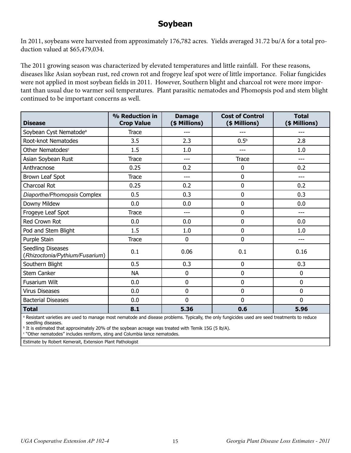#### **Soybean**

In 2011, soybeans were harvested from approximately 176,782 acres. Yields averaged 31.72 bu/A for a total production valued at \$65,479,034.

The 2011 growing season was characterized by elevated temperatures and little rainfall. For these reasons, diseases like Asian soybean rust, red crown rot and frogeye leaf spot were of little importance. Foliar fungicides were not applied in most soybean fields in 2011. However, Southern blight and charcoal rot were more important than usual due to warmer soil temperatures. Plant parasitic nematodes and Phomopsis pod and stem blight continued to be important concerns as well.

| <b>Disease</b>                                      | % Reduction in<br><b>Crop Value</b> | <b>Damage</b><br>(\$ Millions) | <b>Cost of Control</b><br>(\$ Millions) | <b>Total</b><br>(\$ Millions) |  |
|-----------------------------------------------------|-------------------------------------|--------------------------------|-----------------------------------------|-------------------------------|--|
| Soybean Cyst Nematode <sup>a</sup>                  | <b>Trace</b>                        |                                |                                         |                               |  |
| Root-knot Nematodes                                 | 3.5                                 | 2.3                            | $0.5^{b}$                               | 2.8                           |  |
| Other Nematodes <sup>c</sup>                        | 1.5                                 | 1.0                            | $---$                                   | 1.0                           |  |
| Asian Soybean Rust                                  | <b>Trace</b>                        | ---                            | <b>Trace</b>                            | ---                           |  |
| Anthracnose                                         | 0.25                                | 0.2                            | 0                                       | 0.2                           |  |
| Brown Leaf Spot                                     | Trace                               | ---                            | $\mathbf 0$                             | ---                           |  |
| Charcoal Rot                                        | 0.25                                | 0.2                            | $\mathbf 0$                             | 0.2                           |  |
| Diaporthe/Phomopsis Complex                         | 0.5                                 | 0.3                            | 0                                       | 0.3                           |  |
| Downy Mildew                                        | 0.0                                 | 0.0                            | $\mathbf 0$                             | 0.0                           |  |
| Frogeye Leaf Spot                                   | <b>Trace</b>                        | ---                            | $\mathbf 0$                             | ---                           |  |
| Red Crown Rot                                       | 0.0                                 | 0.0                            | $\mathbf 0$                             | 0.0                           |  |
| Pod and Stem Blight                                 | 1.5                                 | 1.0                            | 0                                       | 1.0                           |  |
| Purple Stain                                        | <b>Trace</b>                        | 0                              | $\overline{0}$                          | ---                           |  |
| Seedling Diseases<br>(Rhizoctonia/Pythium/Fusarium) | 0.1                                 | 0.06                           | 0.1                                     | 0.16                          |  |
| Southern Blight                                     | 0.5                                 | 0.3                            | 0                                       | 0.3                           |  |
| Stem Canker                                         | <b>NA</b>                           | 0                              | 0                                       | $\mathbf 0$                   |  |
| Fusarium Wilt                                       | 0.0                                 | 0                              | $\mathbf 0$                             | 0                             |  |
| <b>Virus Diseases</b>                               | 0.0                                 | 0                              | 0                                       | 0                             |  |
| <b>Bacterial Diseases</b>                           | 0.0                                 | 0                              | $\mathbf 0$                             | 0                             |  |
| <b>Total</b>                                        | 8.1                                 | 5.36                           | 0.6                                     | 5.96                          |  |

<sup>a</sup> Resistant varieties are used to manage most nematode and disease problems. Typically, the only fungicides used are seed treatments to reduce seedling diseases.

 $\rm{^b}$  It is estimated that approximately 20% of the soybean acreage was treated with Temik 15G (5 lb/A).

c "Other nematodes" includes reniform, sting and Columbia lance nematodes.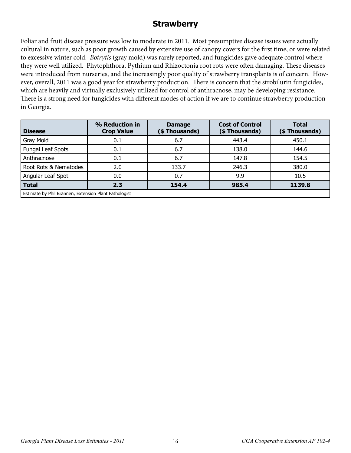## **Strawberry**

Foliar and fruit disease pressure was low to moderate in 2011. Most presumptive disease issues were actually cultural in nature, such as poor growth caused by extensive use of canopy covers for the first time, or were related to excessive winter cold. *Botrytis* (gray mold) was rarely reported, and fungicides gave adequate control where they were well utilized. Phytophthora, Pythium and Rhizoctonia root rots were often damaging. These diseases were introduced from nurseries, and the increasingly poor quality of strawberry transplants is of concern. However, overall, 2011 was a good year for strawberry production. There is concern that the strobilurin fungicides, which are heavily and virtually exclusively utilized for control of anthracnose, may be developing resistance. There is a strong need for fungicides with different modes of action if we are to continue strawberry production in Georgia.

| <b>Disease</b>                                        | % Reduction in<br><b>Crop Value</b> | <b>Damage</b><br>(\$ Thousands) | <b>Cost of Control</b><br>(\$Thousands) | <b>Total</b><br>(\$Thousands) |  |
|-------------------------------------------------------|-------------------------------------|---------------------------------|-----------------------------------------|-------------------------------|--|
| Gray Mold                                             | 0.1                                 | 6.7                             | 443.4                                   | 450.1                         |  |
| Fungal Leaf Spots                                     | 0.1                                 | 6.7                             | 138.0                                   | 144.6                         |  |
| Anthracnose                                           | 0.1                                 | 6.7                             | 147.8                                   | 154.5                         |  |
| Root Rots & Nematodes                                 | 2.0                                 | 133.7                           | 246.3                                   | 380.0                         |  |
| Angular Leaf Spot                                     | 0.0                                 | 0.7                             | 9.9                                     | 10.5                          |  |
| <b>Total</b>                                          | 2.3                                 | 154.4                           | 985.4                                   | 1139.8                        |  |
| Estimate by Phil Brannen, Extension Plant Pathologist |                                     |                                 |                                         |                               |  |

*Georgia Plant Disease Loss Estimates - 2011* 16 *UGA Cooperative Extension AP 102-4*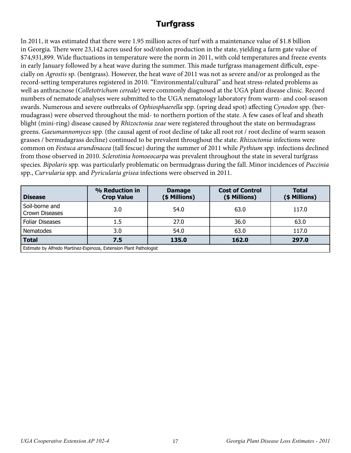## **Turfgrass**

In 2011, it was estimated that there were 1.95 million acres of turf with a maintenance value of \$1.8 billion in Georgia. There were 23,142 acres used for sod/stolon production in the state, yielding a farm gate value of \$74,931,899. Wide fluctuations in temperature were the norm in 2011, with cold temperatures and freeze events in early January followed by a heat wave during the summer. This made turfgrass management difficult, especially on *Agrostis* sp. (bentgrass). However, the heat wave of 2011 was not as severe and/or as prolonged as the record-setting temperatures registered in 2010. "Environmental/cultural" and heat stress-related problems as well as anthracnose (*Colletotrichum cereale*) were commonly diagnosed at the UGA plant disease clinic. Record numbers of nematode analyses were submitted to the UGA nematology laboratory from warm- and cool-season swards. Numerous and severe outbreaks of *Ophiosphaerella* spp. (spring dead spot) affecting *Cynodon* spp. (bermudagrass) were observed throughout the mid- to northern portion of the state. A few cases of leaf and sheath blight (mini-ring) disease caused by *Rhizoctonia zeae* were registered throughout the state on bermudagrass greens. *Gaeumannomyces* spp. (the causal agent of root decline of take all root rot / root decline of warm season grasses / bermudagrass decline) continued to be prevalent throughout the state. *Rhizoctonia* infections were common on *Festuca arundinacea* (tall fescue) during the summer of 2011 while *Pythium* spp. infections declined from those observed in 2010. *Sclerotinia homoeocarpa* was prevalent throughout the state in several turfgrass species. *Bipolaris* spp. was particularly problematic on bermudgrass during the fall. Minor incidences of *Puccinia* spp., *Curvularia* spp. and *Pyricularia grisea* infections were observed in 2011.

| <b>Disease</b>                                                     | % Reduction in<br><b>Crop Value</b> | <b>Damage</b><br>(\$ Millions) | <b>Cost of Control</b><br>(\$ Millions) | <b>Total</b><br>(\$ Millions) |  |
|--------------------------------------------------------------------|-------------------------------------|--------------------------------|-----------------------------------------|-------------------------------|--|
| Soil-borne and<br>Crown Diseases                                   | 3.0                                 | 54.0                           | 63.0                                    | 117.0                         |  |
| <b>Foliar Diseases</b>                                             | $1.5\,$                             | 27.0                           | 36.0                                    | 63.0                          |  |
| Nematodes                                                          | 3.0                                 | 54.0                           | 63.0                                    | 117.0                         |  |
| <b>Total</b>                                                       | 7.5                                 | 135.0                          | 162.0                                   | 297.0                         |  |
| Estimate by Alfredo Martínez-Espinoza, Extension Plant Pathologist |                                     |                                |                                         |                               |  |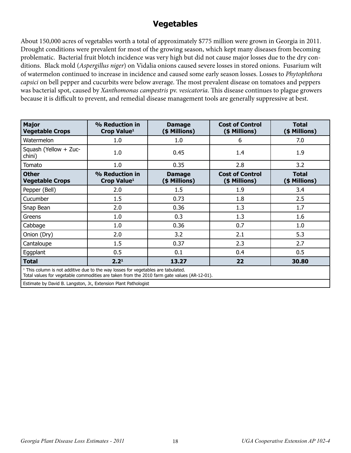## **Vegetables**

About 150,000 acres of vegetables worth a total of approximately \$775 million were grown in Georgia in 2011. Drought conditions were prevalent for most of the growing season, which kept many diseases from becoming problematic. Bacterial fruit blotch incidence was very high but did not cause major losses due to the dry conditions. Black mold (*Aspergillus niger*) on Vidalia onions caused severe losses in stored onions. Fusarium wilt of watermelon continued to increase in incidence and caused some early season losses. Losses to *Phytophthora capsici* on bell pepper and cucurbits were below average. The most prevalent disease on tomatoes and peppers was bacterial spot, caused by *Xanthomonas campestris* pv. *vesicatoria*. This disease continues to plague growers because it is difficult to prevent, and remedial disease management tools are generally suppressive at best.

| <b>Major</b><br><b>Vegetable Crops</b>                                                                                                                                                      | % Reduction in<br>Crop Value <sup>1</sup> | <b>Damage</b><br>(\$ Millions)                                            | <b>Cost of Control</b><br>(\$ Millions) | <b>Total</b><br>(\$ Millions) |  |
|---------------------------------------------------------------------------------------------------------------------------------------------------------------------------------------------|-------------------------------------------|---------------------------------------------------------------------------|-----------------------------------------|-------------------------------|--|
| Watermelon                                                                                                                                                                                  | 1.0                                       | 1.0                                                                       | 6                                       | 7.0                           |  |
| Squash (Yellow + Zuc-<br>chini)                                                                                                                                                             | 1.0                                       | 0.45                                                                      | 1.4                                     | 1.9                           |  |
| Tomato                                                                                                                                                                                      | 1.0                                       | 0.35                                                                      | 2.8                                     | 3.2                           |  |
| <b>Other</b><br><b>Vegetable Crops</b>                                                                                                                                                      | % Reduction in<br>Crop Value <sup>1</sup> | <b>Cost of Control</b><br><b>Damage</b><br>(\$ Millions)<br>(\$ Millions) |                                         | <b>Total</b><br>(\$ Millions) |  |
| Pepper (Bell)                                                                                                                                                                               | 2.0                                       | 1.5                                                                       | 1.9                                     | 3.4                           |  |
| Cucumber                                                                                                                                                                                    | 1.5                                       | 0.73                                                                      | 1.8                                     | 2.5                           |  |
| Snap Bean                                                                                                                                                                                   | 2.0                                       | 0.36                                                                      | 1.3                                     | 1.7                           |  |
| Greens                                                                                                                                                                                      | 1.0                                       | 0.3                                                                       | 1.3                                     | 1.6                           |  |
| Cabbage                                                                                                                                                                                     | 1.0                                       | 0.36                                                                      | 0.7                                     | 1.0                           |  |
| Onion (Dry)                                                                                                                                                                                 | 2.0                                       | 3.2                                                                       | 2.1                                     | 5.3                           |  |
| Cantaloupe                                                                                                                                                                                  | 1.5                                       | 0.37                                                                      | 2.3                                     | 2.7                           |  |
| Eggplant                                                                                                                                                                                    | 0.5                                       | 0.1                                                                       | 0.4                                     | 0.5                           |  |
| <b>Total</b>                                                                                                                                                                                | 2.2 <sup>1</sup>                          | 13.27                                                                     | 22                                      | 30.80                         |  |
| <sup>1</sup> This column is not additive due to the way losses for vegetables are tabulated.<br>Total values for vegetable commodities are taken from the 2010 farm gate values (AR-12-01). |                                           |                                                                           |                                         |                               |  |

Estimate by David B. Langston, Jr., Extension Plant Pathologist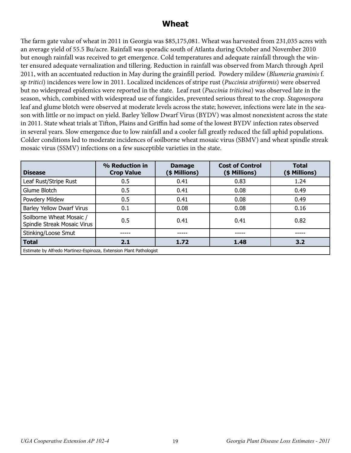#### **Wheat**

The farm gate value of wheat in 2011 in Georgia was \$85,175,081. Wheat was harvested from 231,035 acres with an average yield of 55.5 Bu/acre. Rainfall was sporadic south of Atlanta during October and November 2010 but enough rainfall was received to get emergence. Cold temperatures and adequate rainfall through the winter ensured adequate vernalization and tillering. Reduction in rainfall was observed from March through April 2011, with an accentuated reduction in May during the grainfill period. Powdery mildew (*Blumeria graminis* f. sp *tritici*) incidences were low in 2011. Localized incidences of stripe rust (*Puccinia striiformis*) were observed but no widespread epidemics were reported in the state. Leaf rust (*Puccinia triticina*) was observed late in the season, which, combined with widespread use of fungicides, prevented serious threat to the crop. *Stagonospora* leaf and glume blotch were observed at moderate levels across the state; however, infections were late in the season with little or no impact on yield. Barley Yellow Dwarf Virus (BYDV) was almost nonexistent across the state in 2011. State wheat trials at Tifton, Plains and Griffin had some of the lowest BYDV infection rates observed in several years. Slow emergence due to low rainfall and a cooler fall greatly reduced the fall aphid populations. Colder conditions led to moderate incidences of soilborne wheat mosaic virus (SBMV) and wheat spindle streak mosaic virus (SSMV) infections on a few susceptible varieties in the state.

| <b>Disease</b>                                          | % Reduction in<br><b>Crop Value</b>                                | <b>Damage</b><br>(\$ Millions) | <b>Cost of Control</b><br>(\$ Millions) | <b>Total</b><br>(\$ Millions) |  |  |
|---------------------------------------------------------|--------------------------------------------------------------------|--------------------------------|-----------------------------------------|-------------------------------|--|--|
| Leaf Rust/Stripe Rust                                   | 0.5                                                                | 0.41                           | 0.83                                    | 1.24                          |  |  |
| Glume Blotch                                            | 0.5                                                                | 0.41                           | 0.08                                    | 0.49                          |  |  |
| Powdery Mildew                                          | 0.5                                                                | 0.41                           | 0.08                                    | 0.49                          |  |  |
| <b>Barley Yellow Dwarf Virus</b>                        | 0.1                                                                | 0.08                           | 0.08                                    | 0.16                          |  |  |
| Soilborne Wheat Mosaic /<br>Spindle Streak Mosaic Virus | 0.5                                                                | 0.41                           | 0.41                                    | 0.82                          |  |  |
| Stinking/Loose Smut                                     |                                                                    |                                |                                         |                               |  |  |
| <b>Total</b>                                            | 2.1                                                                | 1.72                           | 1.48                                    | 3.2                           |  |  |
|                                                         | Estimate by Alfredo Martinez-Espinoza, Extension Plant Pathologist |                                |                                         |                               |  |  |

Estimate by Alfredo Martinez-Espinoza, Extension Plant Pathologist